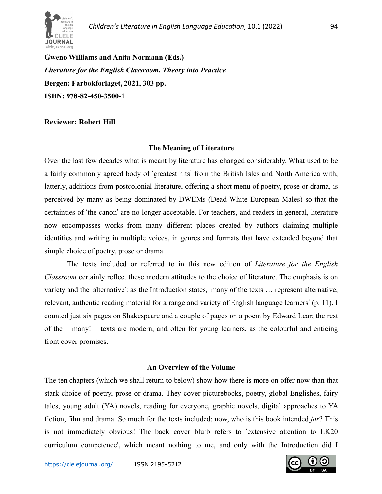



**Gweno Williams and Anita Normann (Eds.)**  *Literature for the English Classroom. Theory into Practice*  **Bergen: Farbokforlaget, 2021, 303 pp. ISBN: 978-82-450-3500-1** 

**Reviewer: Robert Hill**

### **The Meaning of Literature**

Over the last few decades what is meant by literature has changed considerably. What used to be a fairly commonly agreed body of 'greatest hits' from the British Isles and North America with, latterly, additions from postcolonial literature, offering a short menu of poetry, prose or drama, is perceived by many as being dominated by DWEMs (Dead White European Males) so that the certainties of 'the canon' are no longer acceptable. For teachers, and readers in general, literature now encompasses works from many different places created by authors claiming multiple identities and writing in multiple voices, in genres and formats that have extended beyond that simple choice of poetry, prose or drama.

The texts included or referred to in this new edition of *Literature for the English Classroom* certainly reflect these modern attitudes to the choice of literature. The emphasis is on variety and the 'alternative': as the Introduction states, 'many of the texts … represent alternative, relevant, authentic reading material for a range and variety of English language learners' (p. 11). I counted just six pages on Shakespeare and a couple of pages on a poem by Edward Lear; the rest of the – many! – texts are modern, and often for young learners, as the colourful and enticing front cover promises.

#### **An Overview of the Volume**

The ten chapters (which we shall return to below) show how there is more on offer now than that stark choice of poetry, prose or drama. They cover picturebooks, poetry, global Englishes, fairy tales, young adult (YA) novels, reading for everyone, graphic novels, digital approaches to YA fiction, film and drama. So much for the texts included; now, who is this book intended *for*? This is not immediately obvious! The back cover blurb refers to 'extensive attention to LK20 curriculum competence', which meant nothing to me, and only with the Introduction did I



94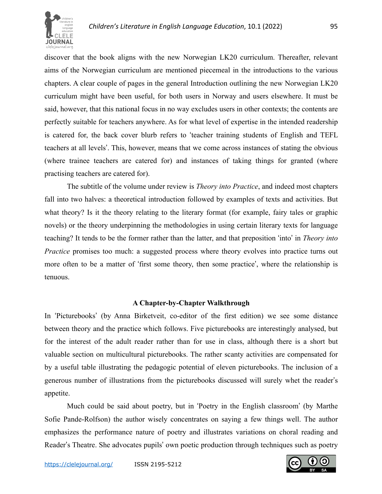

discover that the book aligns with the new Norwegian LK20 curriculum. Thereafter, relevant aims of the Norwegian curriculum are mentioned piecemeal in the introductions to the various chapters. A clear couple of pages in the general Introduction outlining the new Norwegian LK20 curriculum might have been useful, for both users in Norway and users elsewhere. It must be said, however, that this national focus in no way excludes users in other contexts; the contents are perfectly suitable for teachers anywhere. As for what level of expertise in the intended readership is catered for, the back cover blurb refers to 'teacher training students of English and TEFL teachers at all levels'. This, however, means that we come across instances of stating the obvious (where trainee teachers are catered for) and instances of taking things for granted (where practising teachers are catered for).

The subtitle of the volume under review is *Theory into Practice*, and indeed most chapters fall into two halves: a theoretical introduction followed by examples of texts and activities. But what theory? Is it the theory relating to the literary format (for example, fairy tales or graphic novels) or the theory underpinning the methodologies in using certain literary texts for language teaching? It tends to be the former rather than the latter, and that preposition 'into' in *Theory into Practice* promises too much: a suggested process where theory evolves into practice turns out more often to be a matter of 'first some theory, then some practice', where the relationship is tenuous.

# **A Chapter-by-Chapter Walkthrough**

In 'Picturebooks' (by Anna Birketveit, co-editor of the first edition) we see some distance between theory and the practice which follows. Five picturebooks are interestingly analysed, but for the interest of the adult reader rather than for use in class, although there is a short but valuable section on multicultural picturebooks. The rather scanty activities are compensated for by a useful table illustrating the pedagogic potential of eleven picturebooks. The inclusion of a generous number of illustrations from the picturebooks discussed will surely whet the reader's appetite.

Much could be said about poetry, but in 'Poetry in the English classroom' (by Marthe Sofie Pande-Rolfson) the author wisely concentrates on saying a few things well. The author emphasizes the performance nature of poetry and illustrates variations on choral reading and Reader's Theatre. She advocates pupils' own poetic production through techniques such as poetry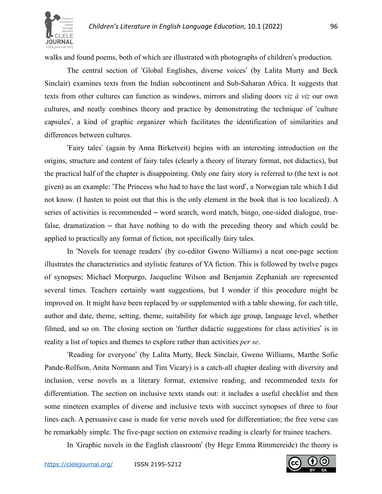

walks and found poems, both of which are illustrated with photographs of children's production.

The central section of 'Global Englishes, diverse voices' (by Lalita Murty and Beck Sinclair) examines texts from the Indian subcontinent and Sub-Saharan Africa. It suggests that texts from other cultures can function as windows, mirrors and sliding doors *viz à viz* our own cultures, and neatly combines theory and practice by demonstrating the technique of 'culture capsules', a kind of graphic organizer which facilitates the identification of similarities and differences between cultures.

'Fairy tales' (again by Anna Birketveit) begins with an interesting introduction on the origins, structure and content of fairy tales (clearly a theory of literary format, not didactics), but the practical half of the chapter is disappointing. Only one fairy story is referred to (the text is not given) as an example: 'The Princess who had to have the last word', a Norwegian tale which I did not know. (I hasten to point out that this is the only element in the book that is too localized). A series of activities is recommended – word search, word match, bingo, one-sided dialogue, truefalse, dramatization – that have nothing to do with the preceding theory and which could be applied to practically any format of fiction, not specifically fairy tales.

In 'Novels for teenage readers' (by co-editor Gweno Williams) a neat one-page section illustrates the characteristics and stylistic features of YA fiction. This is followed by twelve pages of synopses; Michael Morpurgo, Jacqueline Wilson and Benjamin Zephaniah are represented several times. Teachers certainly want suggestions, but I wonder if this procedure might be improved on. It might have been replaced by or supplemented with a table showing, for each title, author and date, theme, setting, theme, suitability for which age group, language level, whether filmed, and so on. The closing section on 'further didactic suggestions for class activities' is in reality a list of topics and themes to explore rather than activities *per se*.

'Reading for everyone' (by Lalita Murty, Beck Sinclair, Gweno Williams, Marthe Sofie Pande-Rolfson, Anita Normann and Tim Vicary) is a catch-all chapter dealing with diversity and inclusion, verse novels as a literary format, extensive reading, and recommended texts for differentiation. The section on inclusive texts stands out: it includes a useful checklist and then some nineteen examples of diverse and inclusive texts with succinct synopses of three to four lines each. A persuasive case is made for verse novels used for differentiation; the free verse can be remarkably simple. The five-page section on extensive reading is clearly for trainee teachers.

In 'Graphic novels in the English classroom' (by Hege Emma Rimmereide) the theory is

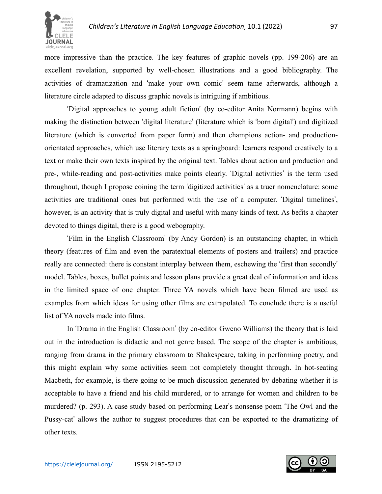

more impressive than the practice. The key features of graphic novels (pp. 199-206) are an excellent revelation, supported by well-chosen illustrations and a good bibliography. The activities of dramatization and 'make your own comic' seem tame afterwards, although a literature circle adapted to discuss graphic novels is intriguing if ambitious.

'Digital approaches to young adult fiction' (by co-editor Anita Normann) begins with making the distinction between 'digital literature' (literature which is 'born digital') and digitized literature (which is converted from paper form) and then champions action- and productionorientated approaches, which use literary texts as a springboard: learners respond creatively to a text or make their own texts inspired by the original text. Tables about action and production and pre-, while-reading and post-activities make points clearly. 'Digital activities' is the term used throughout, though I propose coining the term 'digitized activities' as a truer nomenclature: some activities are traditional ones but performed with the use of a computer. 'Digital timelines', however, is an activity that is truly digital and useful with many kinds of text. As befits a chapter devoted to things digital, there is a good webography.

'Film in the English Classroom' (by Andy Gordon) is an outstanding chapter, in which theory (features of film and even the paratextual elements of posters and trailers) and practice really are connected: there is constant interplay between them, eschewing the 'first then secondly' model. Tables, boxes, bullet points and lesson plans provide a great deal of information and ideas in the limited space of one chapter. Three YA novels which have been filmed are used as examples from which ideas for using other films are extrapolated. To conclude there is a useful list of YA novels made into films.

In 'Drama in the English Classroom' (by co-editor Gweno Williams) the theory that is laid out in the introduction is didactic and not genre based. The scope of the chapter is ambitious, ranging from drama in the primary classroom to Shakespeare, taking in performing poetry, and this might explain why some activities seem not completely thought through. In hot-seating Macbeth, for example, is there going to be much discussion generated by debating whether it is acceptable to have a friend and his child murdered, or to arrange for women and children to be murdered? (p. 293). A case study based on performing Lear's nonsense poem 'The Owl and the Pussy-cat' allows the author to suggest procedures that can be exported to the dramatizing of other texts.